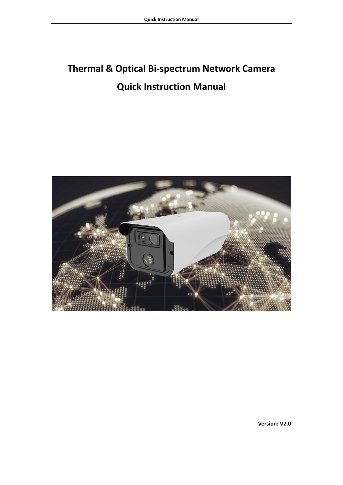# **Thermal & Optical Bi-spectrum Network Camera Quick Instruction Manual**



**Version: V2.0**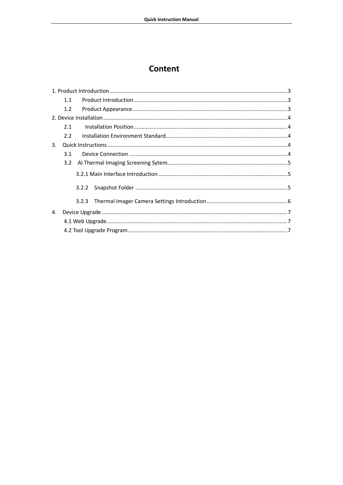## **Content**

|    | 1.1 |       |  |  |  |  |  |  |  |  |
|----|-----|-------|--|--|--|--|--|--|--|--|
|    | 1.2 |       |  |  |  |  |  |  |  |  |
|    |     |       |  |  |  |  |  |  |  |  |
|    | 2.1 |       |  |  |  |  |  |  |  |  |
|    | 2.2 |       |  |  |  |  |  |  |  |  |
| 3. |     |       |  |  |  |  |  |  |  |  |
|    | 3.1 |       |  |  |  |  |  |  |  |  |
|    | 3.2 |       |  |  |  |  |  |  |  |  |
|    |     |       |  |  |  |  |  |  |  |  |
|    |     | 3.2.2 |  |  |  |  |  |  |  |  |
|    |     | 3.2.3 |  |  |  |  |  |  |  |  |
| 4. |     |       |  |  |  |  |  |  |  |  |
|    |     |       |  |  |  |  |  |  |  |  |
|    |     |       |  |  |  |  |  |  |  |  |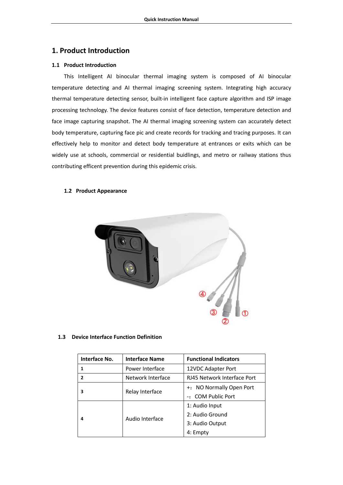## <span id="page-2-0"></span>**1. Product Introduction**

## <span id="page-2-1"></span>**1.1 Product Introduction**

This Intelligent AI binocular thermal imaging system is composed of AI binocular temperature detecting and AI thermal imaging screening system. Integrating high accuracy thermal temperature detecting sensor, built-in intelligent face capture algorithm and ISP image processing technology. The device features consist of face detection, temperature detection and face image capturing snapshot. The AI thermal imaging screening system can accurately detect body temperature, capturing face pic and create records for tracking and tracing purposes. It can effectively help to monitor and detect body temperature at entrances or exits which can be widely use at schools, commercial or residential buidlings, and metro or railway stations thus contributing efficent prevention during this epidemic crisis.

## <span id="page-2-2"></span>**1.2 Product Appearance**



## **1.3 Device Interface Function Definition**

| Interface No.  | <b>Interface Name</b> | <b>Functional Indicators</b> |  |  |  |  |  |
|----------------|-----------------------|------------------------------|--|--|--|--|--|
|                | Power Interface       | 12VDC Adapter Port           |  |  |  |  |  |
| $\overline{2}$ | Network Interface     | RJ45 Network Interface Port  |  |  |  |  |  |
| 3              |                       | +: NO Normally Open Port     |  |  |  |  |  |
|                | Relay Interface       | -: COM Public Port           |  |  |  |  |  |
|                |                       | 1: Audio Input               |  |  |  |  |  |
| 4              |                       | 2: Audio Ground              |  |  |  |  |  |
|                | Audio Interface       | 3: Audio Output              |  |  |  |  |  |
|                |                       | 4: Empty                     |  |  |  |  |  |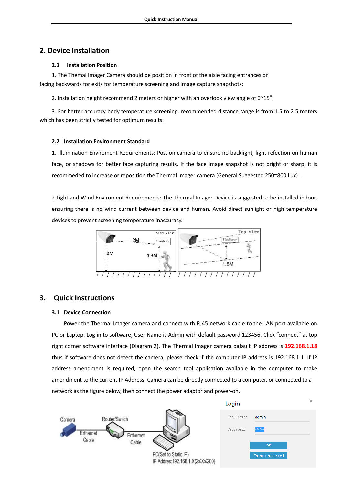## <span id="page-3-0"></span>**2. Device Installation**

## <span id="page-3-1"></span>**2.1 Installation Position**

1. The Themal Imager Camera should be position in front of the aisle facing entrances or facing backwards for exits for temperature screening and image capture snapshots;

2. Installation height recommend 2 meters or higher with an overlook view angle of  $0^{\sim}15^{\circ}$ ;

3. For better accuracy body temperature screening, recommended distance range is from 1.5 to 2.5 meters which has been strictly tested for optimum results.

## <span id="page-3-2"></span>**2.2 Installation Environment Standard**

1. Illumination Enviroment Requirements: Postion camera to ensure no backlight, light refection on human face, or shadows for better face capturing results. If the face image snapshot is not bright or sharp, it is recommeded to increase or reposition the Thermal Imager camera (General Suggested 250~800 Lux) .

2.Light and Wind Enviroment Requirements: The Thermal Imager Device is suggested to be installed indoor, ensuring there is no wind current between device and human. Avoid direct sunlight or high temperature devices to prevent screening temperature inaccuracy.



## <span id="page-3-3"></span>**3. Quick Instructions**

## <span id="page-3-4"></span>**3.1 Device Connection**

Power the Thermal Imager camera and connect with RJ45 network cable to the LAN port available on PC or Laptop. Log in to software, User Name is Admin with default password 123456. Click "connect" at top right corner software interface (Diagram 2). The Thermal Imager camera dafault IP address is **192.168.1.18** thus if software does not detect the camera, please check if the computer IP address is 192.168.1.1. If IP address amendment is required, open the search tool application available in the computer to make amendment to the current IP Address. Camera can be directly connected to a computer, or connected to a network as the figure below, then connect the power adaptor and power-on.

|          |               |           |                                 | Login      |                 | $\curvearrowright$ |
|----------|---------------|-----------|---------------------------------|------------|-----------------|--------------------|
| Camera   | Router/Switch |           |                                 | User Name: | admin           |                    |
| rthernet |               | Erthernet |                                 | Password:  | ******          |                    |
| Cable    |               | Cable     |                                 |            | OK              |                    |
|          |               |           | PC(Set to Static IP)            |            | Change password |                    |
|          |               |           | IP Addres: 192.168.1.X(2≤X≤200) |            |                 |                    |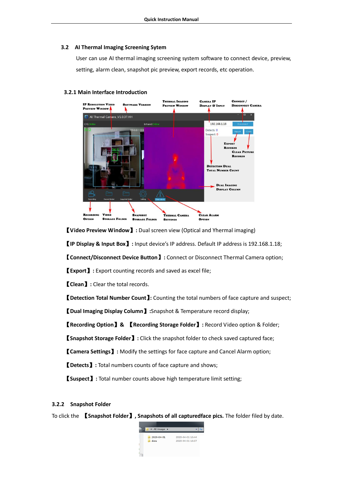#### <span id="page-4-0"></span>**3.2 AI Thermal Imaging Screening Sytem**

User can use AI thermal imaging screening system software to connect device, preview, setting, alarm clean, snapshot pic preview, export records, etc operation.

#### <span id="page-4-1"></span>**3.2.1 Main Interface Introduction**



【**Video Preview Window**】**:** Dual screen view (Optical and Yhermal imaging)

【**IP Display & Input Box**】**:** Input device's IP address. Default IP address is 192.168.1.18;

【**Connect/Disconnect Device Button**】**:** Connect or Disconnect Thermal Camera option;

【**Export**】**:** Export counting records and saved as excel file;

【**Clean**】**:** Clear the total records.

【**Detection Total Number Count**】**:** Counting the total numbers of face capture and suspect;

【**Dual Imaging Display Column**】**:**Snapshot & Temperature record display;

【**Recording Option**】**&** 【**Recording Storage Folder**】**:** Record Video option & Folder;

【**Snapshot Storage Folder**】**:** Click the snapshot folder to check saved captured face;

【**Camera Settings**】**:** Modify the settings for face capture and Cancel Alarm option;

【**Detects**】**:** Total numbers counts of face capture and shows;

【**Suspect**】**:** Total number counts above high temperature limit setting;

## <span id="page-4-2"></span>**3.2.2 Snapshot Folder**

To click the 【**Snapshot Folder**】**, Snapshots of all capturedface pics.** The folder filed by date.

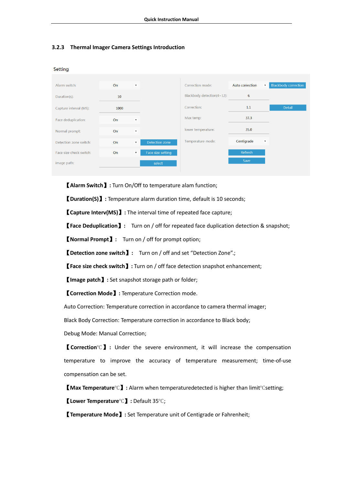## <span id="page-5-0"></span>**3.2.3 Thermal Imager Camera Settings Introduction**

**Setting** 

| Alarm switch:           | <b>On</b><br>$\boldsymbol{\mathrm{v}}$ |                           |                   | Correction mode:           | Auto correction | <b>Blackbody correction</b><br>$\boldsymbol{\mathrm{v}}$ |  |  |
|-------------------------|----------------------------------------|---------------------------|-------------------|----------------------------|-----------------|----------------------------------------------------------|--|--|
| Duration(s):            | 10                                     |                           |                   | Blackbody detection(4~12): | 6               |                                                          |  |  |
| Capture interval (MS):  | 1000                                   |                           |                   | Correction:                | 1.1             | <b>Detail</b>                                            |  |  |
| Face deduplication:     | On<br>$\boldsymbol{\mathrm{v}}$        |                           |                   | Max temp:                  | 37.3            |                                                          |  |  |
| Normal prompt:          | On                                     | $\boldsymbol{\mathrm{v}}$ |                   | lower temperature:         | 35.0            |                                                          |  |  |
| Detection zone switch:  | On                                     | $\overline{\mathbf{v}}$   | Detection zone    | Temperature mode:          | Centigrade      | $\boldsymbol{\mathrm{v}}$                                |  |  |
| Face size check switch: | <b>On</b>                              | $\boldsymbol{\mathrm{v}}$ | Face size setting |                            | Refresh         |                                                          |  |  |
| image path:             |                                        |                           | select            |                            | Save            |                                                          |  |  |

【**Alarm Switch**】**:** Turn On/Off to temperature alam function;

【**Duration(S)**】**:** Temperature alarm duration time, default is 10 seconds;

【**Capture Interv(MS)**】**:** The interval time of repeated face capture;

【**Face Deduplication**】**:** Turn on / off for repeated face duplication detection & snapshot;

【**Normal Prompt**】**:** Turn on / off for prompt option;

【**Detection zone switch**】**:** Turn on / off and set "Detection Zone".;

【**Face size check switch**】**:** Turn on / off face detection snapshot enhancement;

【**Image patch**】**:** Set snapshot storage path or folder;

【**Correction Mode**】**:** Temperature Correction mode.

Auto Correction: Temperature correction in accordance to camera thermal imager;

Black Body Correction: Temperature correction in accordance to Black body;

Debug Mode: Manual Correction;

【**Correction**℃】**:** Under the severe environment, it will increase the compensation temperature to improve the accuracy of temperature measurement; time-of-use compensation can be set.

【**Max Temperature**℃】**:** Alarm when temperaturedetected is higher than limit℃setting;

【**Lower Temperature**℃】**:** Default 35℃;

【**Temperature Mode**】**:** Set Temperature unit of Centigrade or Fahrenheit;